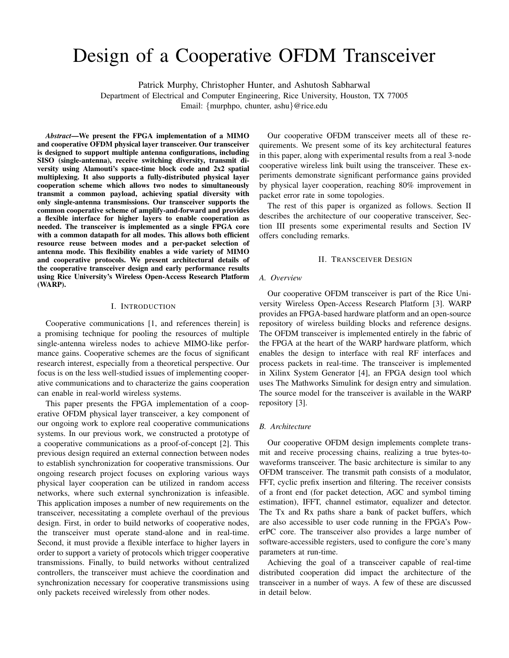# Design of a Cooperative OFDM Transceiver

Patrick Murphy, Christopher Hunter, and Ashutosh Sabharwal

Department of Electrical and Computer Engineering, Rice University, Houston, TX 77005

Email: {murphpo, chunter, ashu}@rice.edu

*Abstract*—We present the FPGA implementation of a MIMO and cooperative OFDM physical layer transceiver. Our transceiver is designed to support multiple antenna configurations, including SISO (single-antenna), receive switching diversity, transmit diversity using Alamouti's space-time block code and 2x2 spatial multiplexing. It also supports a fully-distributed physical layer cooperation scheme which allows two nodes to simultaneously transmit a common payload, achieving spatial diversity with only single-antenna transmissions. Our transceiver supports the common cooperative scheme of amplify-and-forward and provides a flexible interface for higher layers to enable cooperation as needed. The transceiver is implemented as a single FPGA core with a common datapath for all modes. This allows both efficient resource reuse between modes and a per-packet selection of antenna mode. This flexibility enables a wide variety of MIMO and cooperative protocols. We present architectural details of the cooperative transceiver design and early performance results using Rice University's Wireless Open-Access Research Platform (WARP).

#### I. INTRODUCTION

Cooperative communications [\[1,](#page-4-0) and references therein] is a promising technique for pooling the resources of multiple single-antenna wireless nodes to achieve MIMO-like performance gains. Cooperative schemes are the focus of significant research interest, especially from a theoretical perspective. Our focus is on the less well-studied issues of implementing cooperative communications and to characterize the gains cooperation can enable in real-world wireless systems.

This paper presents the FPGA implementation of a cooperative OFDM physical layer transceiver, a key component of our ongoing work to explore real cooperative communications systems. In our previous work, we constructed a prototype of a cooperative communications as a proof-of-concept [\[2\]](#page-4-1). This previous design required an external connection between nodes to establish synchronization for cooperative transmissions. Our ongoing research project focuses on exploring various ways physical layer cooperation can be utilized in random access networks, where such external synchronization is infeasible. This application imposes a number of new requirements on the transceiver, necessitating a complete overhaul of the previous design. First, in order to build networks of cooperative nodes, the transceiver must operate stand-alone and in real-time. Second, it must provide a flexible interface to higher layers in order to support a variety of protocols which trigger cooperative transmissions. Finally, to build networks without centralized controllers, the transceiver must achieve the coordination and synchronization necessary for cooperative transmissions using only packets received wirelessly from other nodes.

Our cooperative OFDM transceiver meets all of these requirements. We present some of its key architectural features in this paper, along with experimental results from a real 3-node cooperative wireless link built using the transceiver. These experiments demonstrate significant performance gains provided by physical layer cooperation, reaching 80% improvement in packet error rate in some topologies.

The rest of this paper is organized as follows. Section [II](#page-0-0) describes the architecture of our cooperative transceiver, Section [III](#page-2-0) presents some experimental results and Section [IV](#page-4-2) offers concluding remarks.

## II. TRANSCEIVER DESIGN

## <span id="page-0-0"></span>*A. Overview*

Our cooperative OFDM transceiver is part of the Rice University Wireless Open-Access Research Platform [\[3\]](#page-4-3). WARP provides an FPGA-based hardware platform and an open-source repository of wireless building blocks and reference designs. The OFDM transceiver is implemented entirely in the fabric of the FPGA at the heart of the WARP hardware platform, which enables the design to interface with real RF interfaces and process packets in real-time. The transceiver is implemented in Xilinx System Generator [\[4\]](#page-4-4), an FPGA design tool which uses The Mathworks Simulink for design entry and simulation. The source model for the transceiver is available in the WARP repository [\[3\]](#page-4-3).

#### *B. Architecture*

Our cooperative OFDM design implements complete transmit and receive processing chains, realizing a true bytes-towaveforms transceiver. The basic architecture is similar to any OFDM transceiver. The transmit path consists of a modulator, FFT, cyclic prefix insertion and filtering. The receiver consists of a front end (for packet detection, AGC and symbol timing estimation), IFFT, channel estimator, equalizer and detector. The Tx and Rx paths share a bank of packet buffers, which are also accessible to user code running in the FPGA's PowerPC core. The transceiver also provides a large number of software-accessible registers, used to configure the core's many parameters at run-time.

Achieving the goal of a transceiver capable of real-time distributed cooperation did impact the architecture of the transceiver in a number of ways. A few of these are discussed in detail below.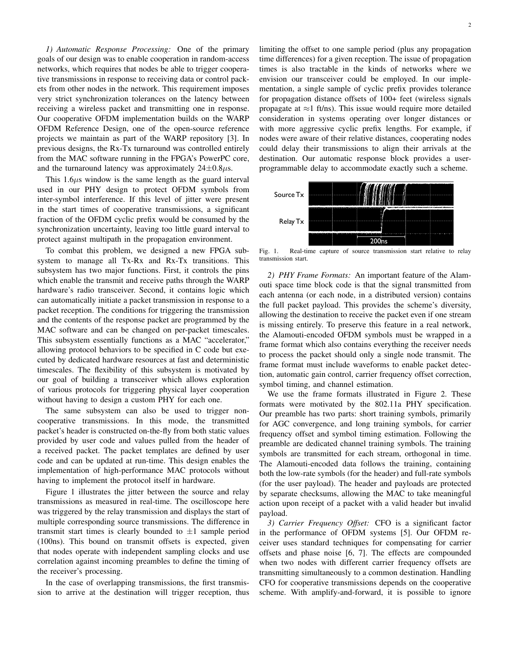*1) Automatic Response Processing:* One of the primary goals of our design was to enable cooperation in random-access networks, which requires that nodes be able to trigger cooperative transmissions in response to receiving data or control packets from other nodes in the network. This requirement imposes very strict synchronization tolerances on the latency between receiving a wireless packet and transmitting one in response. Our cooperative OFDM implementation builds on the WARP OFDM Reference Design, one of the open-source reference projects we maintain as part of the WARP repository [\[3\]](#page-4-3). In previous designs, the Rx-Tx turnaround was controlled entirely from the MAC software running in the FPGA's PowerPC core, and the turnaround latency was approximately  $24\pm0.8\mu s$ .

This  $1.6\mu s$  window is the same length as the guard interval used in our PHY design to protect OFDM symbols from inter-symbol interference. If this level of jitter were present in the start times of cooperative transmissions, a significant fraction of the OFDM cyclic prefix would be consumed by the synchronization uncertainty, leaving too little guard interval to protect against multipath in the propagation environment.

To combat this problem, we designed a new FPGA subsystem to manage all Tx-Rx and Rx-Tx transitions. This subsystem has two major functions. First, it controls the pins which enable the transmit and receive paths through the WARP hardware's radio transceiver. Second, it contains logic which can automatically initiate a packet transmission in response to a packet reception. The conditions for triggering the transmission and the contents of the response packet are programmed by the MAC software and can be changed on per-packet timescales. This subsystem essentially functions as a MAC "accelerator," allowing protocol behaviors to be specified in C code but executed by dedicated hardware resources at fast and deterministic timescales. The flexibility of this subsystem is motivated by our goal of building a transceiver which allows exploration of various protocols for triggering physical layer cooperation without having to design a custom PHY for each one.

The same subsystem can also be used to trigger noncooperative transmissions. In this mode, the transmitted packet's header is constructed on-the-fly from both static values provided by user code and values pulled from the header of a received packet. The packet templates are defined by user code and can be updated at run-time. This design enables the implementation of high-performance MAC protocols without having to implement the protocol itself in hardware.

Figure [1](#page-1-0) illustrates the jitter between the source and relay transmissions as measured in real-time. The oscilloscope here was triggered by the relay transmission and displays the start of multiple corresponding source transmissions. The difference in transmit start times is clearly bounded to  $\pm 1$  sample period (100ns). This bound on transmit offsets is expected, given that nodes operate with independent sampling clocks and use correlation against incoming preambles to define the timing of the receiver's processing.

In the case of overlapping transmissions, the first transmission to arrive at the destination will trigger reception, thus limiting the offset to one sample period (plus any propagation time differences) for a given reception. The issue of propagation times is also tractable in the kinds of networks where we envision our transceiver could be employed. In our implementation, a single sample of cyclic prefix provides tolerance for propagation distance offsets of 100+ feet (wireless signals propagate at  $\approx$ 1 ft/ns). This issue would require more detailed consideration in systems operating over longer distances or with more aggressive cyclic prefix lengths. For example, if nodes were aware of their relative distances, cooperating nodes could delay their transmissions to align their arrivals at the destination. Our automatic response block provides a userprogrammable delay to accommodate exactly such a scheme.



<span id="page-1-0"></span>Fig. 1. Real-time capture of source transmission start relative to relay transmission start.

*2) PHY Frame Formats:* An important feature of the Alamouti space time block code is that the signal transmitted from each antenna (or each node, in a distributed version) contains the full packet payload. This provides the scheme's diversity, allowing the destination to receive the packet even if one stream is missing entirely. To preserve this feature in a real network, the Alamouti-encoded OFDM symbols must be wrapped in a frame format which also contains everything the receiver needs to process the packet should only a single node transmit. The frame format must include waveforms to enable packet detection, automatic gain control, carrier frequency offset correction, symbol timing, and channel estimation.

We use the frame formats illustrated in Figure [2.](#page-2-1) These formats were motivated by the 802.11a PHY specification. Our preamble has two parts: short training symbols, primarily for AGC convergence, and long training symbols, for carrier frequency offset and symbol timing estimation. Following the preamble are dedicated channel training symbols. The training symbols are transmitted for each stream, orthogonal in time. The Alamouti-encoded data follows the training, containing both the low-rate symbols (for the header) and full-rate symbols (for the user payload). The header and payloads are protected by separate checksums, allowing the MAC to take meaningful action upon receipt of a packet with a valid header but invalid payload.

*3) Carrier Frequency Offset:* CFO is a significant factor in the performance of OFDM systems [\[5\]](#page-4-5). Our OFDM receiver uses standard techniques for compensating for carrier offsets and phase noise [\[6,](#page-4-6) [7\]](#page-4-7). The effects are compounded when two nodes with different carrier frequency offsets are transmitting simultaneously to a common destination. Handling CFO for cooperative transmissions depends on the cooperative scheme. With amplify-and-forward, it is possible to ignore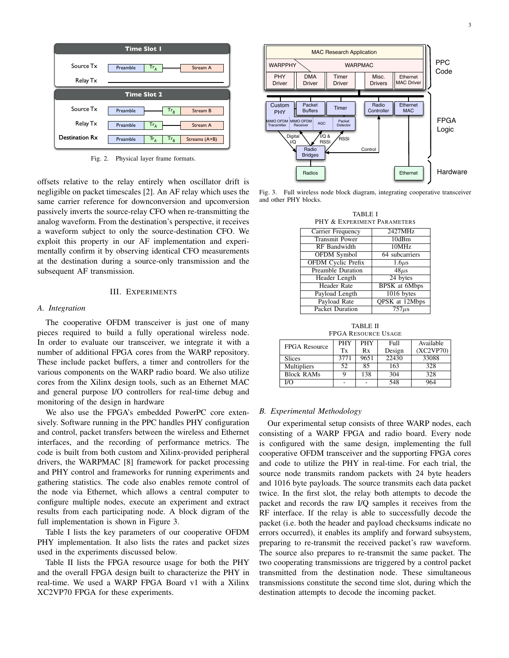

<span id="page-2-1"></span>Fig. 2. Physical layer frame formats.

offsets relative to the relay entirely when oscillator drift is negligible on packet timescales [\[2\]](#page-4-1). An AF relay which uses the same carrier reference for downconversion and upconversion passively inverts the source-relay CFO when re-transmitting the analog waveform. From the destination's perspective, it receives a waveform subject to only the source-destination CFO. We exploit this property in our AF implementation and experimentally confirm it by observing identical CFO measurements at the destination during a source-only transmission and the subsequent AF transmission.

# III. EXPERIMENTS

#### <span id="page-2-0"></span>*A. Integration*

The cooperative OFDM transceiver is just one of many pieces required to build a fully operational wireless node. In order to evaluate our transceiver, we integrate it with a number of additional FPGA cores from the WARP repository. These include packet buffers, a timer and controllers for the various components on the WARP radio board. We also utilize cores from the Xilinx design tools, such as an Ethernet MAC and general purpose I/O controllers for real-time debug and monitoring of the design in hardware

We also use the FPGA's embedded PowerPC core extensively. Software running in the PPC handles PHY configuration and control, packet transfers between the wireless and Ethernet interfaces, and the recording of performance metrics. The code is built from both custom and Xilinx-provided peripheral drivers, the WARPMAC [\[8\]](#page-4-8) framework for packet processing and PHY control and frameworks for running experiments and gathering statistics. The code also enables remote control of the node via Ethernet, which allows a central computer to configure multiple nodes, execute an experiment and extract results from each participating node. A block digram of the full implementation is shown in Figure [3.](#page-2-2)

Table [I](#page-2-3) lists the key parameters of our cooperative OFDM PHY implementation. It also lists the rates and packet sizes used in the experiments discussed below.

Table [II](#page-2-4) lists the FPGA resource usage for both the PHY and the overall FPGA design built to characterize the PHY in real-time. We used a WARP FPGA Board v1 with a Xilinx XC2VP70 FPGA for these experiments.



<span id="page-2-3"></span><span id="page-2-2"></span>Fig. 3. Full wireless node block diagram, integrating cooperative transceiver and other PHY blocks.

TABLE I PHY & EXPERIMENT PARAMETERS

| 2427MHz               |  |  |
|-----------------------|--|--|
| 10dBm                 |  |  |
| 10MHz                 |  |  |
| 64 subcarriers        |  |  |
| $1.6\mu s$            |  |  |
| $48\mu s$             |  |  |
| 24 bytes              |  |  |
| <b>BPSK</b> at 6Mbps  |  |  |
| $1016$ bytes          |  |  |
| <b>OPSK</b> at 12Mbps |  |  |
| $757\mu s$            |  |  |
|                       |  |  |

TABLE II FPGA RESOURCE USAGE

<span id="page-2-4"></span>

| FPGA Resource      | <b>PHY</b> | <b>PHY</b> | Full   | Available |
|--------------------|------------|------------|--------|-----------|
|                    | Tx         | Rx         | Design | (XC2VP70) |
| <b>Slices</b>      | 3771       | 9651       | 22430  | 33088     |
| <b>Multipliers</b> | 52         | 85         | 163    | 328       |
| <b>Block RAMs</b>  | Q          | 138        | 304    | 328       |
| I/O                | -          |            | 548    | 964       |

#### *B. Experimental Methodology*

Our experimental setup consists of three WARP nodes, each consisting of a WARP FPGA and radio board. Every node is configured with the same design, implementing the full cooperative OFDM transceiver and the supporting FPGA cores and code to utilize the PHY in real-time. For each trial, the source node transmits random packets with 24 byte headers and 1016 byte payloads. The source transmits each data packet twice. In the first slot, the relay both attempts to decode the packet and records the raw I/Q samples it receives from the RF interface. If the relay is able to successfully decode the packet (i.e. both the header and payload checksums indicate no errors occurred), it enables its amplify and forward subsystem, preparing to re-transmit the received packet's raw waveform. The source also prepares to re-transmit the same packet. The two cooperating transmissions are triggered by a control packet transmitted from the destination node. These simultaneous transmissions constitute the second time slot, during which the destination attempts to decode the incoming packet.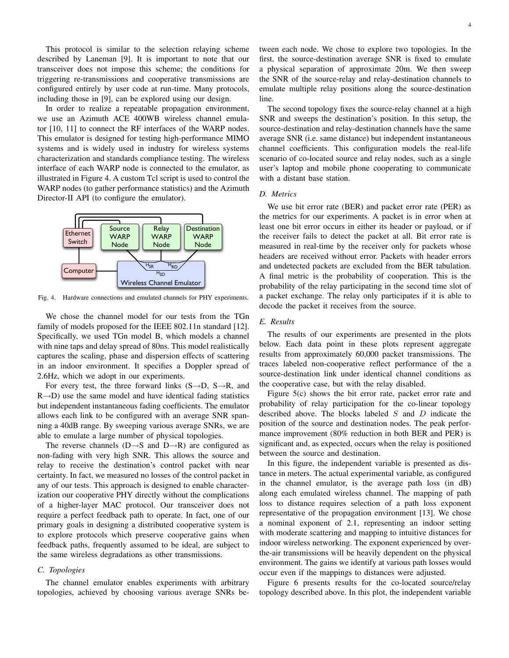This protocol is similar to the selection relaying scheme described by Laneman [\[9\]](#page-4-9). It is important to note that our transceiver does not impose this scheme; the conditions for triggering re-transmissions and cooperative transmissions are configured entirely by user code at run-time. Many protocols, including those in [\[9\]](#page-4-9), can be explored using our design.

In order to realize a repeatable propagation environment, we use an Azimuth ACE 400WB wireless channel emulator [\[10,](#page-4-10) [11\]](#page-4-11) to connect the RF interfaces of the WARP nodes. This emulator is designed for testing high-performance MIMO systems and is widely used in industry for wireless systems characterization and standards compliance testing. The wireless interface of each WARP node is connected to the emulator, as illustrated in Figure [4.](#page-3-0) A custom Tcl script is used to control the WARP nodes (to gather performance statistics) and the Azimuth Director-II API (to configure the emulator).



<span id="page-3-0"></span>Fig. 4. Hardware connections and emulated channels for PHY experiments.

We chose the channel model for our tests from the TGn family of models proposed for the IEEE 802.11n standard [\[12\]](#page-4-12). Specifically, we used TGn model B, which models a channel with nine taps and delay spread of 80ns. This model realistically captures the scaling, phase and dispersion effects of scattering in an indoor environment. It specifies a Doppler spread of 2.6Hz, which we adopt in our experiments.

For every test, the three forward links  $(S \rightarrow D, S \rightarrow R,$  and  $R\rightarrow D$ ) use the same model and have identical fading statistics but independent instantaneous fading coefficients. The emulator allows each link to be configured with an average SNR spanning a 40dB range. By sweeping various average SNRs, we are able to emulate a large number of physical topologies.

The reverse channels (D $\rightarrow$ S and D $\rightarrow$ R) are configured as non-fading with very high SNR. This allows the source and relay to receive the destination's control packet with near certainty. In fact, we measured no losses of the control packet in any of our tests. This approach is designed to enable characterization our cooperative PHY directly without the complications of a higher-layer MAC protocol. Our transceiver does not require a perfect feedback path to operate. In fact, one of our primary goals in designing a distributed cooperative system is to explore protocols which preserve cooperative gains when feedback paths, frequently assumed to be ideal, are subject to the same wireless degradations as other transmissions.

# *C. Topologies*

The channel emulator enables experiments with arbitrary topologies, achieved by choosing various average SNRs between each node. We chose to explore two topologies. In the first, the source-destination average SNR is fixed to emulate a physical separation of approximate 20m. We then sweep the SNR of the source-relay and relay-destination channels to emulate multiple relay positions along the source-destination line.

The second topology fixes the source-relay channel at a high SNR and sweeps the destination's position. In this setup, the source-destination and relay-destination channels have the same average SNR (i.e. same distance) but independent instantaneous channel coefficients. This configuration models the real-life scenario of co-located source and relay nodes, such as a single user's laptop and mobile phone cooperating to communicate with a distant base station.

#### *D. Metrics*

We use bit error rate (BER) and packet error rate (PER) as the metrics for our experiments. A packet is in error when at least one bit error occurs in either its header or payload, or if the receiver fails to detect the packet at all. Bit error rate is measured in real-time by the receiver only for packets whose headers are received without error. Packets with header errors and undetected packets are excluded from the BER tabulation. A final metric is the probability of cooperation. This is the probability of the relay participating in the second time slot of a packet exchange. The relay only participates if it is able to decode the packet it receives from the source.

# *E. Results*

The results of our experiments are presented in the plots below. Each data point in these plots represent aggregate results from approximately 60,000 packet transmissions. The traces labeled non-cooperative reflect performance of the a source-destination link under identical channel conditions as the cooperative case, but with the relay disabled.

Figure [5\(c\)](#page-4-13) shows the bit error rate, packet error rate and probability of relay participation for the co-linear topology described above. The blocks labeled  $S$  and  $D$  indicate the position of the source and destination nodes. The peak performance improvement (80% reduction in both BER and PER) is significant and, as expected, occurs when the relay is positioned between the source and destination.

In this figure, the independent variable is presented as distance in meters. The actual experimental variable, as configured in the channel emulator, is the average path loss (in dB) along each emulated wireless channel. The mapping of path loss to distance requires selection of a path loss exponent representative of the propagation environment [\[13\]](#page-4-14). We chose a nominal exponent of 2.1, representing an indoor setting with moderate scattering and mapping to intuitive distances for indoor wireless networking. The exponent experienced by overthe-air transmissions will be heavily dependent on the physical environment. The gains we identify at various path losses would occur even if the mappings to distances were adjusted.

Figure [6](#page-4-15) presents results for the co-located source/relay topology described above. In this plot, the independent variable